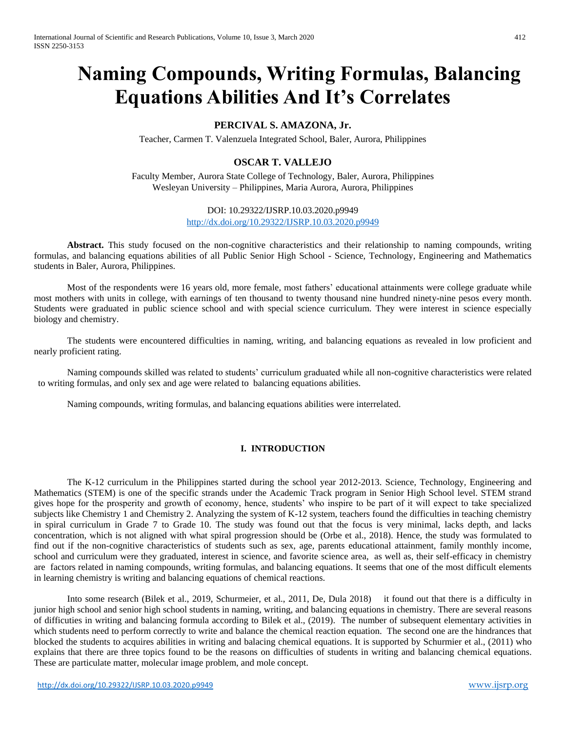# **Naming Compounds, Writing Formulas, Balancing Equations Abilities And It's Correlates**

## **PERCIVAL S. AMAZONA, Jr.**

Teacher, Carmen T. Valenzuela Integrated School, Baler, Aurora, Philippines

# **OSCAR T. VALLEJO**

Faculty Member, Aurora State College of Technology, Baler, Aurora, Philippines Wesleyan University – Philippines, Maria Aurora, Aurora, Philippines

## DOI: 10.29322/IJSRP.10.03.2020.p9949 <http://dx.doi.org/10.29322/IJSRP.10.03.2020.p9949>

**Abstract.** This study focused on the non-cognitive characteristics and their relationship to naming compounds, writing formulas, and balancing equations abilities of all Public Senior High School - Science, Technology, Engineering and Mathematics students in Baler, Aurora, Philippines.

Most of the respondents were 16 years old, more female, most fathers' educational attainments were college graduate while most mothers with units in college, with earnings of ten thousand to twenty thousand nine hundred ninety-nine pesos every month. Students were graduated in public science school and with special science curriculum. They were interest in science especially biology and chemistry.

The students were encountered difficulties in naming, writing, and balancing equations as revealed in low proficient and nearly proficient rating.

Naming compounds skilled was related to students' curriculum graduated while all non-cognitive characteristics were related to writing formulas, and only sex and age were related to balancing equations abilities.

Naming compounds, writing formulas, and balancing equations abilities were interrelated.

## **I. INTRODUCTION**

The K-12 curriculum in the Philippines started during the school year 2012-2013. Science, Technology, Engineering and Mathematics (STEM) is one of the specific strands under the Academic Track program in Senior High School level. STEM strand gives hope for the prosperity and growth of economy, hence, students' who inspire to be part of it will expect to take specialized subjects like Chemistry 1 and Chemistry 2. Analyzing the system of K-12 system, teachers found the difficulties in teaching chemistry in spiral curriculum in Grade 7 to Grade 10. The study was found out that the focus is very minimal, lacks depth, and lacks concentration, which is not aligned with what spiral progression should be (Orbe et al., 2018). Hence, the study was formulated to find out if the non-cognitive characteristics of students such as sex, age, parents educational attainment, family monthly income, school and curriculum were they graduated, interest in science, and favorite science area, as well as, their self-efficacy in chemistry are factors related in naming compounds, writing formulas, and balancing equations. It seems that one of the most difficult elements in learning chemistry is writing and balancing equations of chemical reactions.

Into some research (Bilek et al., 2019, Schurmeier, et al., 2011, De, Dula 2018) it found out that there is a difficulty in junior high school and senior high school students in naming, writing, and balancing equations in chemistry. There are several reasons of difficuties in writing and balancing formula according to Bilek et al., (2019). The number of subsequent elementary activities in which students need to perform correctly to write and balance the chemical reaction equation. The second one are the hindrances that blocked the students to acquires abilities in writing and balacing chemical equations. It is supported by Schurmier et al., (2011) who explains that there are three topics found to be the reasons on difficulties of students in writing and balancing chemical equations. These are particulate matter, molecular image problem, and mole concept.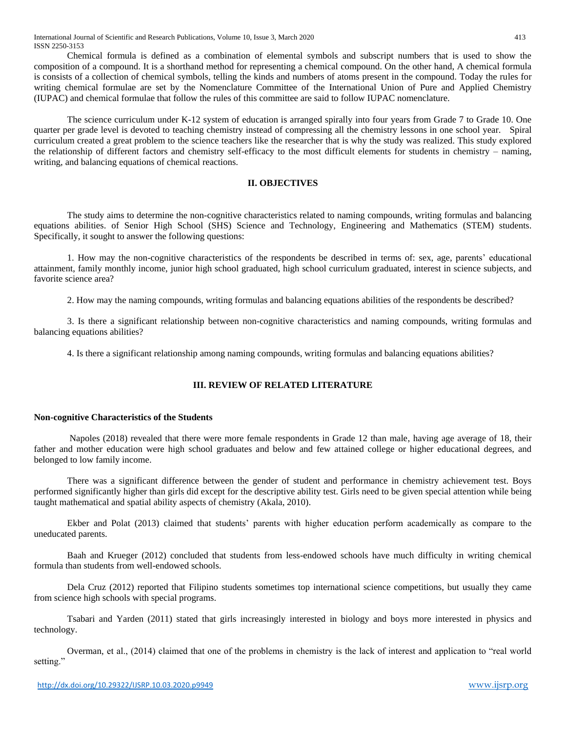Chemical formula is defined as a combination of elemental symbols and subscript numbers that is used to show the composition of a compound. It is a shorthand method for representing a chemical compound. On the other hand, A chemical formula is consists of a collection of chemical symbols, telling the kinds and numbers of atoms present in the compound. Today the rules for writing chemical formulae are set by the Nomenclature Committee of the International Union of Pure and Applied Chemistry (IUPAC) and chemical formulae that follow the rules of this committee are said to follow IUPAC nomenclature.

The science curriculum under K-12 system of education is arranged spirally into four years from Grade 7 to Grade 10. One quarter per grade level is devoted to teaching chemistry instead of compressing all the chemistry lessons in one school year. Spiral curriculum created a great problem to the science teachers like the researcher that is why the study was realized. This study explored the relationship of different factors and chemistry self-efficacy to the most difficult elements for students in chemistry – naming, writing, and balancing equations of chemical reactions.

#### **II. OBJECTIVES**

The study aims to determine the non-cognitive characteristics related to naming compounds, writing formulas and balancing equations abilities. of Senior High School (SHS) Science and Technology, Engineering and Mathematics (STEM) students. Specifically, it sought to answer the following questions:

1. How may the non-cognitive characteristics of the respondents be described in terms of: sex, age, parents' educational attainment, family monthly income, junior high school graduated, high school curriculum graduated, interest in science subjects, and favorite science area?

2. How may the naming compounds, writing formulas and balancing equations abilities of the respondents be described?

3. Is there a significant relationship between non-cognitive characteristics and naming compounds, writing formulas and balancing equations abilities?

4. Is there a significant relationship among naming compounds, writing formulas and balancing equations abilities?

## **III. REVIEW OF RELATED LITERATURE**

## **Non-cognitive Characteristics of the Students**

Napoles (2018) revealed that there were more female respondents in Grade 12 than male, having age average of 18, their father and mother education were high school graduates and below and few attained college or higher educational degrees, and belonged to low family income.

There was a significant difference between the gender of student and performance in chemistry achievement test. Boys performed significantly higher than girls did except for the descriptive ability test. Girls need to be given special attention while being taught mathematical and spatial ability aspects of chemistry (Akala, 2010).

Ekber and Polat (2013) claimed that students' parents with higher education perform academically as compare to the uneducated parents.

Baah and Krueger (2012) concluded that students from less-endowed schools have much difficulty in writing chemical formula than students from well-endowed schools.

Dela Cruz (2012) reported that Filipino students sometimes top international science competitions, but usually they came from science high schools with special programs.

Tsabari and Yarden (2011) stated that girls increasingly interested in biology and boys more interested in physics and technology.

Overman, et al., (2014) claimed that one of the problems in chemistry is the lack of interest and application to "real world setting."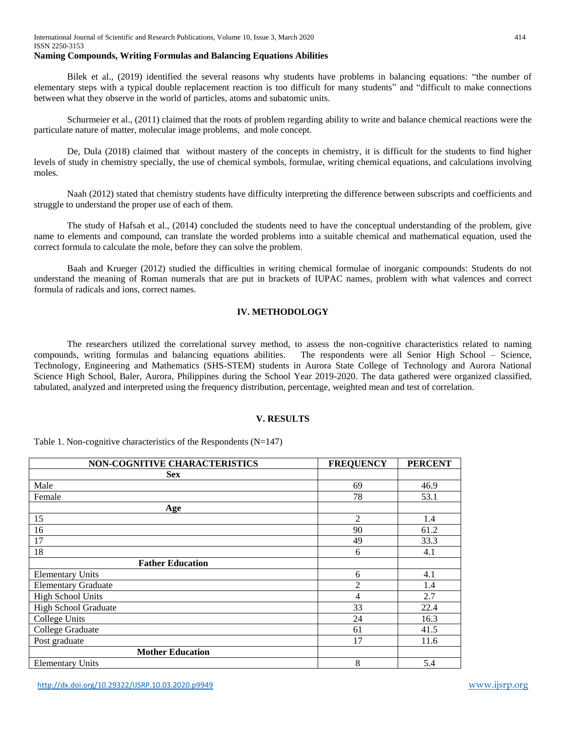Bilek et al., (2019) identified the several reasons why students have problems in balancing equations: "the number of elementary steps with a typical double replacement reaction is too difficult for many students" and "difficult to make connections between what they observe in the world of particles, atoms and subatomic units.

Schurmeier et al., (2011) claimed that the roots of problem regarding ability to write and balance chemical reactions were the particulate nature of matter, molecular image problems, and mole concept.

De, Dula (2018) claimed that without mastery of the concepts in chemistry, it is difficult for the students to find higher levels of study in chemistry specially, the use of chemical symbols, formulae, writing chemical equations, and calculations involving moles.

Naah (2012) stated that chemistry students have difficulty interpreting the difference between subscripts and coefficients and struggle to understand the proper use of each of them.

The study of Hafsah et al., (2014) concluded the students need to have the conceptual understanding of the problem, give name to elements and compound, can translate the worded problems into a suitable chemical and mathematical equation, used the correct formula to calculate the mole, before they can solve the problem.

Baah and Krueger (2012) studied the difficulties in writing chemical formulae of inorganic compounds: Students do not understand the meaning of Roman numerals that are put in brackets of IUPAC names, problem with what valences and correct formula of radicals and ions, correct names.

## **IV. METHODOLOGY**

The researchers utilized the correlational survey method, to assess the non-cognitive characteristics related to naming compounds, writing formulas and balancing equations abilities. The respondents were all Senior High School – Science, Technology, Engineering and Mathematics (SHS-STEM) students in Aurora State College of Technology and Aurora National Science High School, Baler, Aurora, Philippines during the School Year 2019-2020. The data gathered were organized classified, tabulated, analyzed and interpreted using the frequency distribution, percentage, weighted mean and test of correlation.

## **V. RESULTS**

Table 1. Non-cognitive characteristics of the Respondents (N=147)

| <b>NON-COGNITIVE CHARACTERISTICS</b> | <b>FREQUENCY</b> | <b>PERCENT</b> |
|--------------------------------------|------------------|----------------|
| <b>Sex</b>                           |                  |                |
| Male                                 | 69               | 46.9           |
| Female                               | 78               | 53.1           |
| Age                                  |                  |                |
| 15                                   | $\overline{2}$   | 1.4            |
| 16                                   | 90               | 61.2           |
| 17                                   | 49               | 33.3           |
| 18                                   | 6                | 4.1            |
| <b>Father Education</b>              |                  |                |
| <b>Elementary Units</b>              | 6                | 4.1            |
| <b>Elementary Graduate</b>           | $\overline{2}$   | 1.4            |
| <b>High School Units</b>             | 4                | 2.7            |
| High School Graduate                 | 33               | 22.4           |
| College Units                        | 24               | 16.3           |
| College Graduate                     | 61               | 41.5           |
| Post graduate                        | 17               | 11.6           |
| <b>Mother Education</b>              |                  |                |
| <b>Elementary Units</b>              | 8                | 5.4            |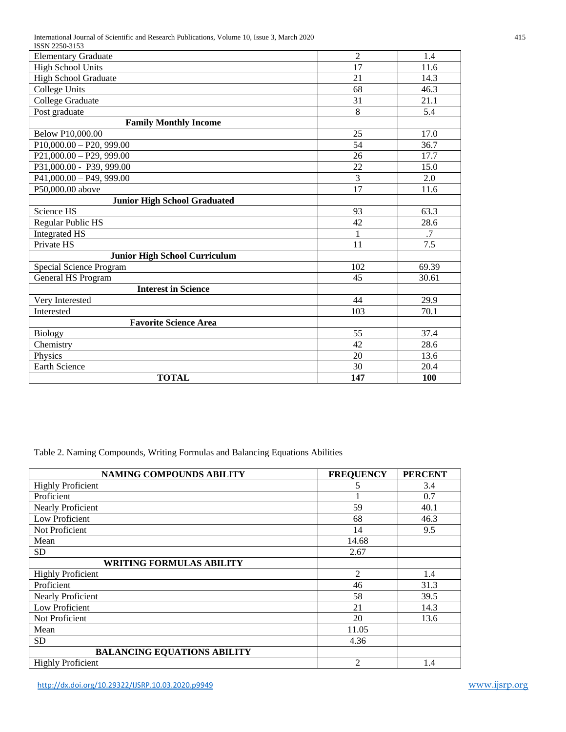International Journal of Scientific and Research Publications, Volume 10, Issue 3, March 2020 415

| ISSN 2250-3153                       |                |                  |  |  |
|--------------------------------------|----------------|------------------|--|--|
| <b>Elementary Graduate</b>           | $\overline{2}$ | 1.4              |  |  |
| <b>High School Units</b>             | 17             | 11.6             |  |  |
| <b>High School Graduate</b>          | 21             | 14.3             |  |  |
| <b>College Units</b>                 | 68             | 46.3             |  |  |
| College Graduate                     | 31             | 21.1             |  |  |
| Post graduate                        | 8              | 5.4              |  |  |
| <b>Family Monthly Income</b>         |                |                  |  |  |
| Below P10,000.00                     | 25             | 17.0             |  |  |
| $P10,000.00 - P20,999.00$            | 54             | 36.7             |  |  |
| $P21,000.00 - P29,999.00$            | 26             | 17.7             |  |  |
| P31,000.00 - P39, 999.00             | 22             | 15.0             |  |  |
| $P41,000.00 - P49,999.00$            | 3              | 2.0              |  |  |
| P50,000.00 above                     | 17             | 11.6             |  |  |
| <b>Junior High School Graduated</b>  |                |                  |  |  |
| Science HS                           | 93             | 63.3             |  |  |
| Regular Public HS                    | 42             | 28.6             |  |  |
| <b>Integrated HS</b>                 | 1              | .7               |  |  |
| Private HS                           | 11             | $\overline{7.5}$ |  |  |
| <b>Junior High School Curriculum</b> |                |                  |  |  |
| Special Science Program              | 102            | 69.39            |  |  |
| General HS Program                   | 45             | 30.61            |  |  |
| <b>Interest in Science</b>           |                |                  |  |  |
| Very Interested                      | 44             | 29.9             |  |  |
| Interested                           | 103            | 70.1             |  |  |
| <b>Favorite Science Area</b>         |                |                  |  |  |
| <b>Biology</b>                       | 55             | 37.4             |  |  |
| Chemistry                            | 42             | 28.6             |  |  |
| Physics                              | 20             | 13.6             |  |  |
| Earth Science                        | 30             | 20.4             |  |  |
| <b>TOTAL</b>                         | 147            | 100              |  |  |

Table 2. Naming Compounds, Writing Formulas and Balancing Equations Abilities

| NAMING COMPOUNDS ABILITY           | <b>FREQUENCY</b> | <b>PERCENT</b> |
|------------------------------------|------------------|----------------|
| <b>Highly Proficient</b>           | 5                | 3.4            |
| Proficient                         |                  | 0.7            |
| Nearly Proficient                  | 59               | 40.1           |
| Low Proficient                     | 68               | 46.3           |
| Not Proficient                     | 14               | 9.5            |
| Mean                               | 14.68            |                |
| <b>SD</b>                          | 2.67             |                |
| <b>WRITING FORMULAS ABILITY</b>    |                  |                |
| <b>Highly Proficient</b>           | $\overline{2}$   | 1.4            |
| Proficient                         | 46               | 31.3           |
| <b>Nearly Proficient</b>           | 58               | 39.5           |
| Low Proficient                     | 21               | 14.3           |
| Not Proficient                     | 20               | 13.6           |
| Mean                               | 11.05            |                |
| <b>SD</b>                          | 4.36             |                |
| <b>BALANCING EQUATIONS ABILITY</b> |                  |                |
| <b>Highly Proficient</b>           | $\mathfrak{D}$   | 1.4            |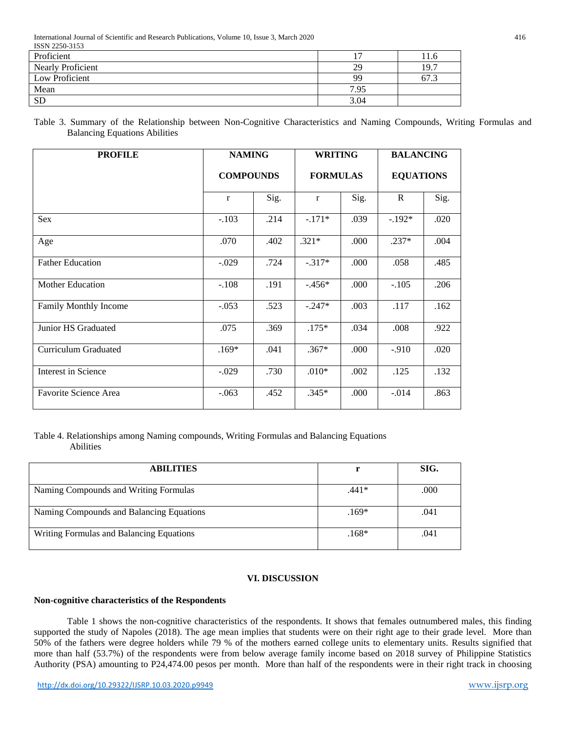International Journal of Scientific and Research Publications, Volume 10, Issue 3, March 2020 416  $ISPN 2250-2152$ 

| 15519 2250-5155          |      |        |
|--------------------------|------|--------|
| Proficient               |      | l I .0 |
| <b>Nearly Proficient</b> | 29   | 19.7   |
| Low Proficient           | 99   | 67.3   |
| Mean                     | 7.95 |        |
| <b>SD</b>                | 3.04 |        |

Table 3. Summary of the Relationship between Non-Cognitive Characteristics and Naming Compounds, Writing Formulas and Balancing Equations Abilities

| <b>PROFILE</b>              | <b>NAMING</b>    |      | <b>WRITING</b>  |      | <b>BALANCING</b> |      |
|-----------------------------|------------------|------|-----------------|------|------------------|------|
|                             | <b>COMPOUNDS</b> |      | <b>FORMULAS</b> |      | <b>EQUATIONS</b> |      |
|                             | $\mathbf{r}$     | Sig. | $\mathbf{r}$    | Sig. | $\mathbb{R}$     | Sig. |
| <b>Sex</b>                  | $-.103$          | .214 | $-.171*$        | .039 | $-192*$          | .020 |
| Age                         | .070             | .402 | $.321*$         | .000 | $.237*$          | .004 |
| <b>Father Education</b>     | $-.029$          | .724 | $-.317*$        | .000 | .058             | .485 |
| Mother Education            | $-.108$          | .191 | $-.456*$        | .000 | $-.105$          | .206 |
| Family Monthly Income       | $-.053$          | .523 | $-.247*$        | .003 | .117             | .162 |
| Junior HS Graduated         | .075             | .369 | $.175*$         | .034 | .008             | .922 |
| <b>Curriculum Graduated</b> | $.169*$          | .041 | $.367*$         | .000 | $-.910$          | .020 |
| Interest in Science         | $-.029$          | .730 | $.010*$         | .002 | .125             | .132 |
| Favorite Science Area       | $-.063$          | .452 | $.345*$         | .000 | $-.014$          | .863 |

## Table 4. Relationships among Naming compounds, Writing Formulas and Balancing Equations Abilities

| <b>ABILITIES</b>                         |         | SIG. |
|------------------------------------------|---------|------|
| Naming Compounds and Writing Formulas    | .441*   | .000 |
| Naming Compounds and Balancing Equations | $.169*$ | .041 |
| Writing Formulas and Balancing Equations | $.168*$ | .041 |

## **VI. DISCUSSION**

#### **Non-cognitive characteristics of the Respondents**

Table 1 shows the non-cognitive characteristics of the respondents. It shows that females outnumbered males, this finding supported the study of Napoles (2018). The age mean implies that students were on their right age to their grade level. More than 50% of the fathers were degree holders while 79 % of the mothers earned college units to elementary units. Results signified that more than half (53.7%) of the respondents were from below average family income based on 2018 survey of Philippine Statistics Authority (PSA) amounting to P24,474.00 pesos per month. More than half of the respondents were in their right track in choosing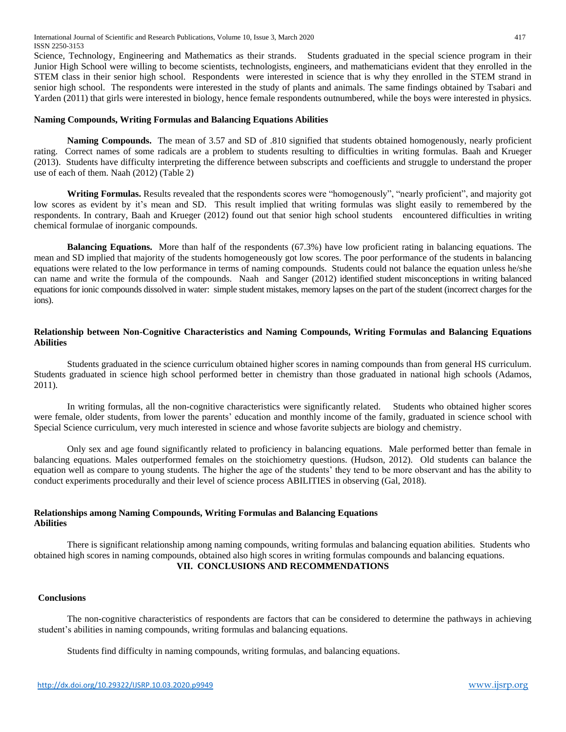Science, Technology, Engineering and Mathematics as their strands. Students graduated in the special science program in their Junior High School were willing to become scientists, technologists, engineers, and mathematicians evident that they enrolled in the STEM class in their senior high school. Respondents were interested in science that is why they enrolled in the STEM strand in senior high school. The respondents were interested in the study of plants and animals. The same findings obtained by Tsabari and Yarden (2011) that girls were interested in biology, hence female respondents outnumbered, while the boys were interested in physics.

#### **Naming Compounds, Writing Formulas and Balancing Equations Abilities**

**Naming Compounds.** The mean of 3.57 and SD of .810 signified that students obtained homogenously, nearly proficient rating. Correct names of some radicals are a problem to students resulting to difficulties in writing formulas. Baah and Krueger (2013). Students have difficulty interpreting the difference between subscripts and coefficients and struggle to understand the proper use of each of them. Naah (2012) (Table 2)

**Writing Formulas.** Results revealed that the respondents scores were "homogenously", "nearly proficient", and majority got low scores as evident by it's mean and SD. This result implied that writing formulas was slight easily to remembered by the respondents. In contrary, Baah and Krueger (2012) found out that senior high school students encountered difficulties in writing chemical formulae of inorganic compounds.

**Balancing Equations.** More than half of the respondents (67.3%) have low proficient rating in balancing equations. The mean and SD implied that majority of the students homogeneously got low scores. The poor performance of the students in balancing equations were related to the low performance in terms of naming compounds. Students could not balance the equation unless he/she can name and write the formula of the compounds. Naah and Sanger (2012) identified student misconceptions in writing balanced equations for ionic compounds dissolved in water: simple student mistakes, memory lapses on the part of the student (incorrect charges for the ions).

#### **Relationship between Non-Cognitive Characteristics and Naming Compounds, Writing Formulas and Balancing Equations Abilities**

Students graduated in the science curriculum obtained higher scores in naming compounds than from general HS curriculum. Students graduated in science high school performed better in chemistry than those graduated in national high schools (Adamos, 2011).

In writing formulas, all the non-cognitive characteristics were significantly related. Students who obtained higher scores were female, older students, from lower the parents' education and monthly income of the family, graduated in science school with Special Science curriculum, very much interested in science and whose favorite subjects are biology and chemistry.

Only sex and age found significantly related to proficiency in balancing equations. Male performed better than female in balancing equations. Males outperformed females on the stoichiometry questions. (Hudson, 2012). Old students can balance the equation well as compare to young students. The higher the age of the students' they tend to be more observant and has the ability to conduct experiments procedurally and their level of science process ABILITIES in observing (Gal, 2018).

## **Relationships among Naming Compounds, Writing Formulas and Balancing Equations Abilities**

There is significant relationship among naming compounds, writing formulas and balancing equation abilities. Students who obtained high scores in naming compounds, obtained also high scores in writing formulas compounds and balancing equations. **VII. CONCLUSIONS AND RECOMMENDATIONS**

#### **Conclusions**

The non-cognitive characteristics of respondents are factors that can be considered to determine the pathways in achieving student's abilities in naming compounds, writing formulas and balancing equations.

Students find difficulty in naming compounds, writing formulas, and balancing equations.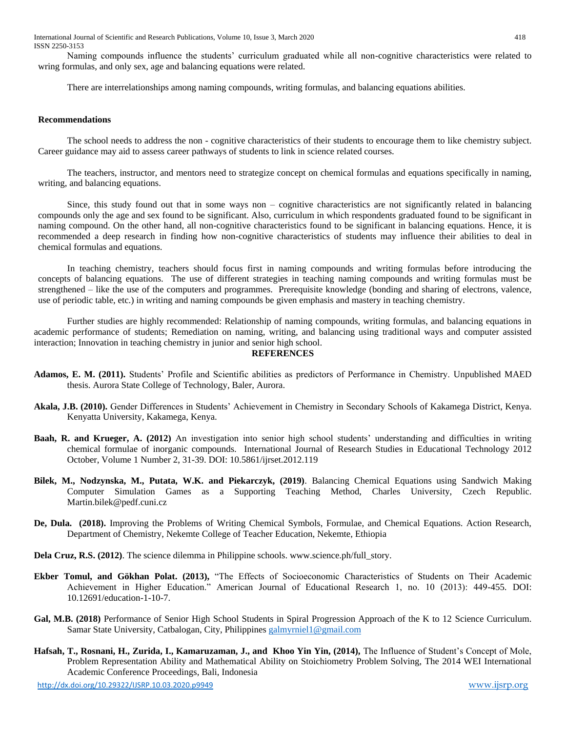International Journal of Scientific and Research Publications, Volume 10, Issue 3, March 2020 418 ISSN 2250-3153

Naming compounds influence the students' curriculum graduated while all non-cognitive characteristics were related to wring formulas, and only sex, age and balancing equations were related.

There are interrelationships among naming compounds, writing formulas, and balancing equations abilities.

#### **Recommendations**

The school needs to address the non - cognitive characteristics of their students to encourage them to like chemistry subject. Career guidance may aid to assess career pathways of students to link in science related courses.

The teachers, instructor, and mentors need to strategize concept on chemical formulas and equations specifically in naming, writing, and balancing equations.

Since, this study found out that in some ways non – cognitive characteristics are not significantly related in balancing compounds only the age and sex found to be significant. Also, curriculum in which respondents graduated found to be significant in naming compound. On the other hand, all non-cognitive characteristics found to be significant in balancing equations. Hence, it is recommended a deep research in finding how non-cognitive characteristics of students may influence their abilities to deal in chemical formulas and equations.

In teaching chemistry, teachers should focus first in naming compounds and writing formulas before introducing the concepts of balancing equations. The use of different strategies in teaching naming compounds and writing formulas must be strengthened – like the use of the computers and programmes. Prerequisite knowledge (bonding and sharing of electrons, valence, use of periodic table, etc.) in writing and naming compounds be given emphasis and mastery in teaching chemistry.

Further studies are highly recommended: Relationship of naming compounds, writing formulas, and balancing equations in academic performance of students; Remediation on naming, writing, and balancing using traditional ways and computer assisted interaction; Innovation in teaching chemistry in junior and senior high school.

#### **REFERENCES**

- **Adamos, E. M. (2011).** Students' Profile and Scientific abilities as predictors of Performance in Chemistry. Unpublished MAED thesis. Aurora State College of Technology, Baler, Aurora.
- **Akala, J.B. (2010).** Gender Differences in Students' Achievement in Chemistry in Secondary Schools of Kakamega District, Kenya. Kenyatta University, Kakamega, Kenya.
- **Baah, R. and Krueger, A. (2012)** An investigation into senior high school students' understanding and difficulties in writing chemical formulae of inorganic compounds. International Journal of Research Studies in Educational Technology 2012 October, Volume 1 Number 2, 31-39. DOI: 10.5861/ijrset.2012.119
- **Bilek, M., Nodzynska, M., Putata, W.K. and Piekarczyk, (2019)**. Balancing Chemical Equations using Sandwich Making Computer Simulation Games as a Supporting Teaching Method, Charles University, Czech Republic. Martin.bilek@pedf.cuni.cz
- **De, Dula. (2018).** Improving the Problems of Writing Chemical Symbols, Formulae, and Chemical Equations. Action Research, Department of Chemistry, Nekemte College of Teacher Education, Nekemte, Ethiopia
- **Dela Cruz, R.S. (2012)**. The science dilemma in Philippine schools. www.science.ph/full\_story.
- **Ekber Tomul, and Gökhan Polat. (2013),** "The Effects of Socioeconomic Characteristics of Students on Their Academic Achievement in Higher Education." American Journal of Educational Research 1, no. 10 (2013): 449-455. DOI: 10.12691/education-1-10-7.
- **Gal, M.B. (2018)** Performance of Senior High School Students in Spiral Progression Approach of the K to 12 Science Curriculum. Samar State University, Catbalogan, City, Philippine[s galmyrniel1@gmail.com](mailto:galmyrniel1@gmail.com)
- **Hafsah, T., Rosnani, H., Zurida, I., Kamaruzaman, J., and Khoo Yin Yin, (2014),** The Influence of Student's Concept of Mole, Problem Representation Ability and Mathematical Ability on Stoichiometry Problem Solving, The 2014 WEI International Academic Conference Proceedings, Bali, Indonesia